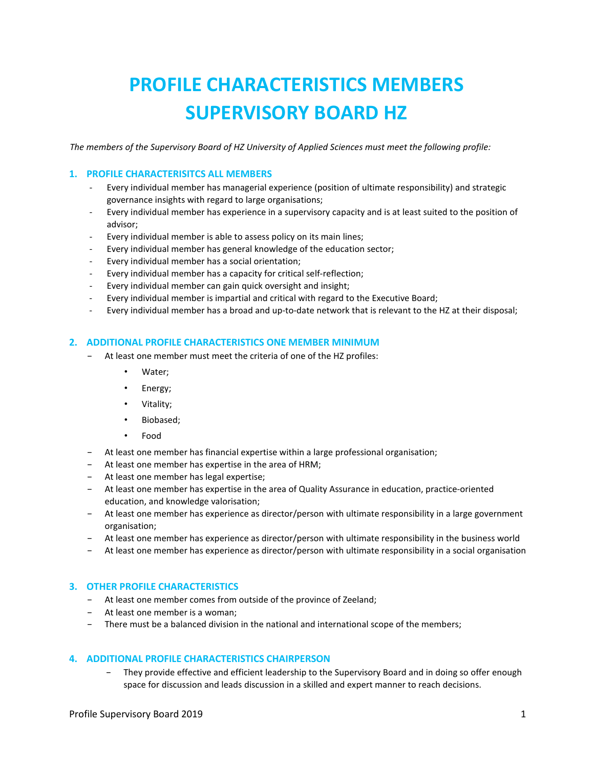# **PROFILE CHARACTERISTICS MEMBERS SUPERVISORY BOARD HZ**

*The members of the Supervisory Board of HZ University of Applied Sciences must meet the following profile:* 

### **1. PROFILE CHARACTERISITCS ALL MEMBERS**

- Every individual member has managerial experience (position of ultimate responsibility) and strategic governance insights with regard to large organisations;
- Every individual member has experience in a supervisory capacity and is at least suited to the position of advisor;
- Every individual member is able to assess policy on its main lines;
- Every individual member has general knowledge of the education sector;
- Every individual member has a social orientation;
- Every individual member has a capacity for critical self-reflection;
- Every individual member can gain quick oversight and insight;
- Every individual member is impartial and critical with regard to the Executive Board;
- Every individual member has a broad and up-to-date network that is relevant to the HZ at their disposal;

#### **2. ADDITIONAL PROFILE CHARACTERISTICS ONE MEMBER MINIMUM**

- − At least one member must meet the criteria of one of the HZ profiles:
	- Water;
	- Energy;
	- Vitality;
	- Biobased;
	- Food
- − At least one member has financial expertise within a large professional organisation;
- − At least one member has expertise in the area of HRM;
- − At least one member has legal expertise;
- − At least one member has expertise in the area of Quality Assurance in education, practice-oriented education, and knowledge valorisation;
- − At least one member has experience as director/person with ultimate responsibility in a large government organisation;
- − At least one member has experience as director/person with ultimate responsibility in the business world
- − At least one member has experience as director/person with ultimate responsibility in a social organisation

### **3. OTHER PROFILE CHARACTERISTICS**

- − At least one member comes from outside of the province of Zeeland;
- − At least one member is a woman;
- − There must be a balanced division in the national and international scope of the members;

### **4. ADDITIONAL PROFILE CHARACTERISTICS CHAIRPERSON**

− They provide effective and efficient leadership to the Supervisory Board and in doing so offer enough space for discussion and leads discussion in a skilled and expert manner to reach decisions.